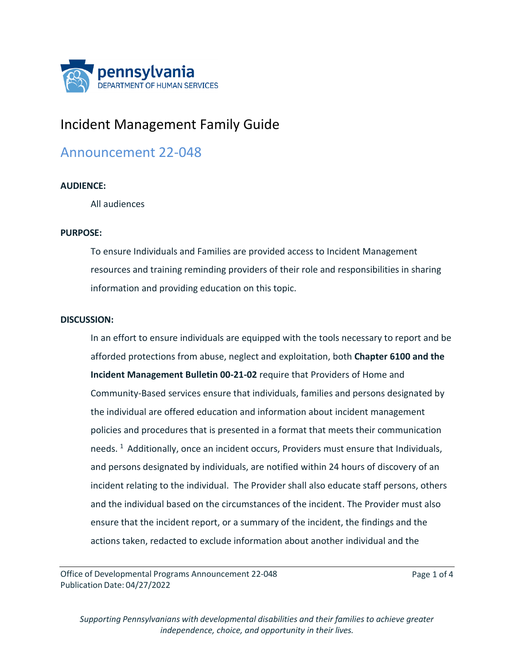

# Incident Management Family Guide

# Announcement 22-048

## **AUDIENCE:**

All audiences

#### **PURPOSE:**

To ensure Individuals and Families are provided access to Incident Management resources and training reminding providers of their role and responsibilities in sharing information and providing education on this topic.

#### **DISCUSSION:**

In an effort to ensure individuals are equipped with the tools necessary to report and be afforded protections from abuse, neglect and exploitation, both **Chapter 6100 and the Incident Management Bulletin 00-21-02** require that Providers of Home and Community-Based services ensure that individuals, families and persons designated by the individual are offered education and information about incident management policies and procedures that is presented in a format that meets their communication needs.  $1$  Additionally, once an incident occurs, Providers must ensure that Individuals, and persons designated by individuals, are notified within 24 hours of discovery of an incident relating to the individual. The Provider shall also educate staff persons, others and the individual based on the circumstances of the incident. The Provider must also ensure that the incident report, or a summary of the incident, the findings and the actions taken, redacted to exclude information about another individual and the

Office of Developmental Programs Announcement 22-048 Publication Date: 04/27/2022

Page 1 of 4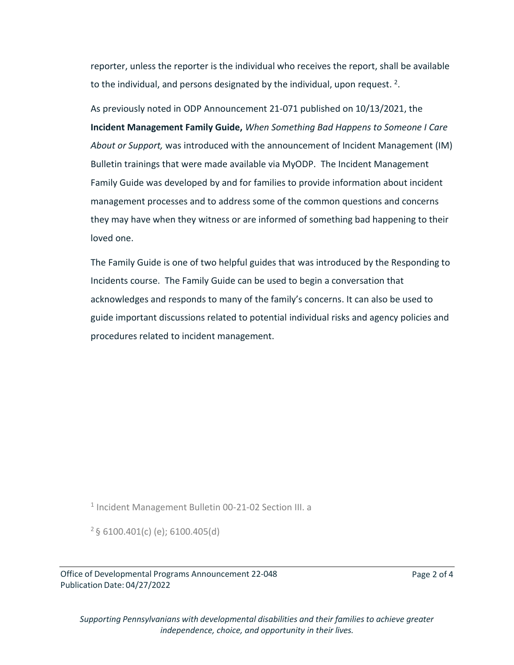reporter, unless the reporter is the individual who receives the report, shall be available to the individual, and persons designated by the individual, upon request. <sup>2</sup>.

As previously noted in ODP Announcement 21-071 published on 10/13/2021, the **Incident Management Family Guide,** *When Something Bad Happens to Someone I Care About or Support,* was introduced with the announcement of Incident Management (IM) Bulletin trainings that were made available via MyODP. The Incident Management Family Guide was developed by and for families to provide information about incident management processes and to address some of the common questions and concerns they may have when they witness or are informed of something bad happening to their loved one.

The Family Guide is one of two helpful guides that was introduced by the Responding to Incidents course. The Family Guide can be used to begin a conversation that acknowledges and responds to many of the family's concerns. It can also be used to guide important discussions related to potential individual risks and agency policies and procedures related to incident management.

<sup>1</sup> Incident Management Bulletin 00-21-02 Section III. a

<sup>2</sup>§ 6100.401(c) (e); 6100.405(d)

Office of Developmental Programs Announcement 22-048 Publication Date: 04/27/2022

Page 2 of 4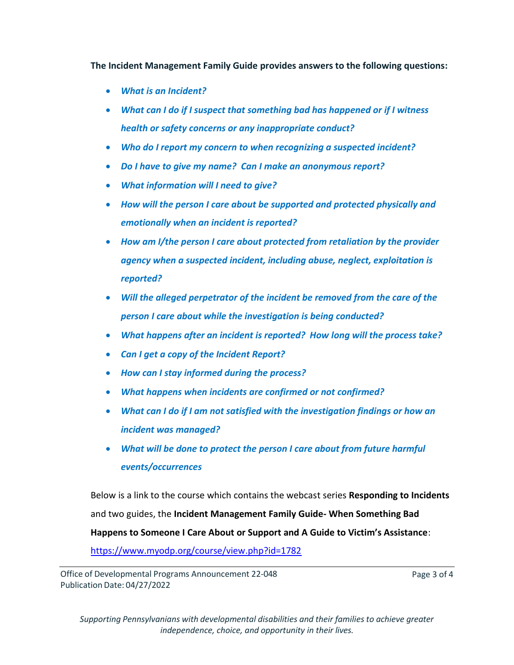**The Incident Management Family Guide provides answers to the following questions:**

- *What is an Incident?*
- *What can I do if I suspect that something bad has happened or if I witness health or safety concerns or any inappropriate conduct?*
- *Who do I report my concern to when recognizing a suspected incident?*
- *Do I have to give my name? Can I make an anonymous report?*
- *What information will I need to give?*
- *How will the person I care about be supported and protected physically and emotionally when an incident is reported?*
- *How am I/the person I care about protected from retaliation by the provider agency when a suspected incident, including abuse, neglect, exploitation is reported?*
- *Will the alleged perpetrator of the incident be removed from the care of the person I care about while the investigation is being conducted?*
- *What happens after an incident is reported? How long will the process take?*
- *Can I get a copy of the Incident Report?*
- *How can I stay informed during the process?*
- *What happens when incidents are confirmed or not confirmed?*
- *What can I do if I am not satisfied with the investigation findings or how an incident was managed?*
- *What will be done to protect the person I care about from future harmful events/occurrences*

Below is a link to the course which contains the webcast series **Responding to Incidents**  and two guides, the **Incident Management Family Guide- When Something Bad Happens to Someone I Care About or Support and A Guide to Victim's Assistance**: <https://www.myodp.org/course/view.php?id=1782>